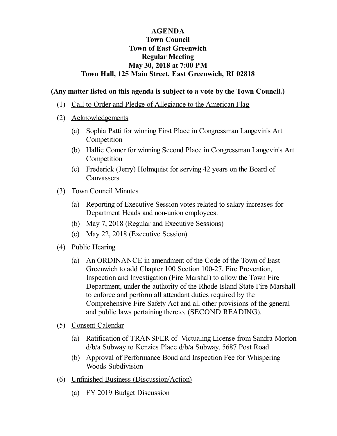## **AGENDA Town Council Town of East Greenwich Regular Meeting May 30, 2018 at 7:00 PM Town Hall, 125 Main Street, East Greenwich, RI 02818**

## **(Any matter listed on this agenda is subject to a vote by the Town Council.)**

- (1) Call to Order and Pledge of Allegiance to the American Flag
- (2) Acknowledgements
	- (a) Sophia Patti for winning First Place in [Congressman](file:///C:/Windows/TEMP/CoverSheet.aspx?ItemID=917&MeetingID=118) Langevin's Art **Competition**
	- (b) Hallie Comer for winning Second Place in [Congressman](file:///C:/Windows/TEMP/CoverSheet.aspx?ItemID=916&MeetingID=118) Langevin's Art **Competition**
	- (c) Frederick (Jerry) [Holmquist](file:///C:/Windows/TEMP/CoverSheet.aspx?ItemID=923&MeetingID=118) for serving 42 years on the Board of Canvassers

## (3) Town Council Minutes

- (a) Reporting of Executive Session votes related to salary increases for [Department](file:///C:/Windows/TEMP/CoverSheet.aspx?ItemID=909&MeetingID=118) Heads and non-union employees.
- (b) May 7, 2018 (Regular and [Executive](file:///C:/Windows/TEMP/CoverSheet.aspx?ItemID=915&MeetingID=118) Sessions)
- (c) May 22, 2018 (Executive Session)
- (4) Public Hearing
	- (a) An [ORDINANCE](file:///C:/Windows/TEMP/CoverSheet.aspx?ItemID=912&MeetingID=118) in amendment of the Code of the Town of East Greenwich to add Chapter 100 Section 100-27, Fire Prevention, Inspection and Investigation (Fire Marshal) to allow the Town Fire Department, under the authority of the Rhode Island State Fire Marshall to enforce and perform all attendant duties required by the Comprehensive Fire Safety Act and all other provisions of the general and public laws pertaining thereto. (SECOND READING).
- (5) Consent Calendar
	- (a) Ratification of TRANSFER of Victualing License from Sandra Morton d/b/a Subway to Kenzies Place d/b/a Subway, 5687 Post Road
	- (b) Approval of [Performance](file:///C:/Windows/TEMP/CoverSheet.aspx?ItemID=913&MeetingID=118) Bond and Inspection Fee for Whispering Woods Subdivision
- (6) Unfinished Business (Discussion/Action)
	- (a) FY 2019 Budget [Discussion](file:///C:/Windows/TEMP/CoverSheet.aspx?ItemID=927&MeetingID=118)